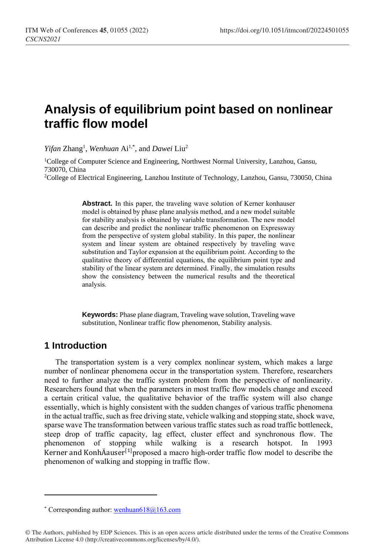# **Analysis of equilibrium point based on nonlinear traffic flow model**

*Yifan* Zhang<sup>1</sup>, *Wenhuan* Ai<sup>1,\*</sup>, and *Dawei* Liu<sup>2</sup>

<sup>1</sup>College of Computer Science and Engineering, Northwest Normal University, Lanzhou, Gansu, 730070, China

<sup>2</sup>College of Electrical Engineering, Lanzhou Institute of Technology, Lanzhou, Gansu, 730050, China

**Abstract.** In this paper, the traveling wave solution of Kerner konhauser model is obtained by phase plane analysis method, and a new model suitable for stability analysis is obtained by variable transformation. The new model can describe and predict the nonlinear traffic phenomenon on Expressway from the perspective of system global stability. In this paper, the nonlinear system and linear system are obtained respectively by traveling wave substitution and Taylor expansion at the equilibrium point. According to the qualitative theory of differential equations, the equilibrium point type and stability of the linear system are determined. Finally, the simulation results show the consistency between the numerical results and the theoretical analysis.

**Keywords:** Phase plane diagram, Traveling wave solution, Traveling wave substitution, Nonlinear traffic flow phenomenon, Stability analysis.

## **1 Introduction**

 $\overline{a}$ 

The transportation system is a very complex nonlinear system, which makes a large number of nonlinear phenomena occur in the transportation system. Therefore, researchers need to further analyze the traffic system problem from the perspective of nonlinearity. Researchers found that when the parameters in most traffic flow models change and exceed a certain critical value, the qualitative behavior of the traffic system will also change essentially, which is highly consistent with the sudden changes of various traffic phenomena in the actual traffic, such as free driving state, vehicle walking and stopping state, shock wave, sparse wave The transformation between various traffic states such as road traffic bottleneck, steep drop of traffic capacity, lag effect, cluster effect and synchronous flow. The phenomenon of stopping while walking is a research hotspot. In 1993 Kerner and KonhÄauser<sup>[1]</sup>proposed a macro high-order traffic flow model to describe the phenomenon of walking and stopping in traffic flow.

<sup>\*</sup> Corresponding author: wenhuan618 $@163.com$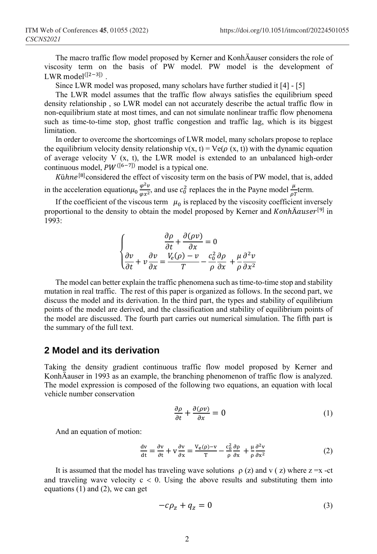The macro traffic flow model proposed by Kerner and KonhÄauser considers the role of viscosity term on the basis of PW model. PW model is the development of LWR model<sup>([2−3])</sup>.

Since LWR model was proposed, many scholars have further studied it [4] - [5]

The LWR model assumes that the traffic flow always satisfies the equilibrium speed density relationship , so LWR model can not accurately describe the actual traffic flow in non-equilibrium state at most times, and can not simulate nonlinear traffic flow phenomena such as time-to-time stop, ghost traffic congestion and traffic lag, which is its biggest **limitation** 

In order to overcome the shortcomings of LWR model, many scholars propose to replace the equilibrium velocity density relationship  $v(x, t) = Ve(\rho(x, t))$  with the dynamic equation of average velocity V (x, t), the LWR model is extended to an unbalanced high-order continuous model,  $PW^{([6-7])}$  model is a typical one.

Kühne<sup>[8]</sup>considered the effect of viscosity term on the basis of PW model, that is, added in the acceleration equation $\mu_0 \frac{\varphi^2 v}{\varphi^2}$  $\frac{\varphi^2 v}{\varphi x^2}$ , and use  $c_0^2$  replaces the in the Payne model  $\frac{\mu}{\varphi T}$  term.

If the coefficient of the viscous term  $\mu_0$  is replaced by the viscosity coefficient inversely proportional to the density to obtain the model proposed by Kerner and KonhÄauser<sup>[9]</sup> in 1993:

$$
\begin{cases}\n\frac{\partial \rho}{\partial t} + \frac{\partial (\rho v)}{\partial x} = 0 \\
\frac{\partial v}{\partial t} + v \frac{\partial v}{\partial x} = \frac{V_e(\rho) - v}{T} - \frac{c_0^2}{\rho} \frac{\partial \rho}{\partial x} + \frac{\mu}{\rho} \frac{\partial^2 v}{\partial x^2}\n\end{cases}
$$

The model can better explain the traffic phenomena such as time-to-time stop and stability mutation in real traffic. The rest of this paper is organized as follows. In the second part, we discuss the model and its derivation. In the third part, the types and stability of equilibrium points of the model are derived, and the classification and stability of equilibrium points of the model are discussed. The fourth part carries out numerical simulation. The fifth part is the summary of the full text.

#### **2 Model and its derivation**

Taking the density gradient continuous traffic flow model proposed by Kerner and KonhÄauser in 1993 as an example, the branching phenomenon of traffic flow is analyzed. The model expression is composed of the following two equations, an equation with local vehicle number conservation

$$
\frac{\partial \rho}{\partial t} + \frac{\partial (\rho v)}{\partial x} = 0 \tag{1}
$$

And an equation of motion:

$$
\frac{dv}{dt} = \frac{\partial v}{\partial t} + v \frac{\partial v}{\partial x} = \frac{v_e(\rho) - v}{T} - \frac{c_0^2}{\rho} \frac{\partial \rho}{\partial x} + \frac{\mu}{\rho} \frac{\partial^2 v}{\partial x^2}
$$
(2)

It is assumed that the model has traveling wave solutions  $\rho(z)$  and v  $(z)$  where  $z = x - ct$ and traveling wave velocity  $c < 0$ . Using the above results and substituting them into equations (1) and (2), we can get

$$
-c\rho_z + q_z = 0 \tag{3}
$$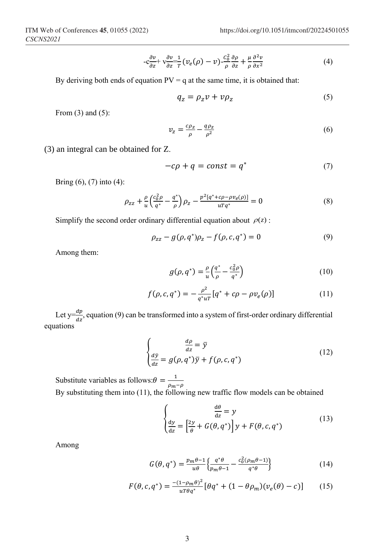$$
-c\frac{\partial v}{\partial z} + v\frac{\partial v}{\partial z} \frac{1}{T} (v_e(\rho) - v) \frac{c_0^2}{\rho} \frac{\partial \rho}{\partial z} + \frac{\mu}{\rho} \frac{\partial^2 v}{\partial x^2}
$$
(4)

By deriving both ends of equation  $PV = q$  at the same time, it is obtained that:

$$
q_z = \rho_z v + v \rho_z \tag{5}
$$

From  $(3)$  and  $(5)$ :

$$
v_z = \frac{c\rho_z}{\rho} - \frac{q\rho_z}{\rho^2} \tag{6}
$$

(3) an integral can be obtained for Z.

$$
-c\rho + q = const = q^* \tag{7}
$$

Bring (6), (7) into (4):

$$
\rho_{zz} + \frac{\rho}{u} \left( \frac{c_0^2 \rho}{q^*} - \frac{q^*}{\rho} \right) \rho_z - \frac{p^2 [q^* + c\rho - \rho v_e(\rho)]}{u T q^*} = 0 \tag{8}
$$

Simplify the second order ordinary differential equation about  $\rho(z)$ :

$$
\rho_{zz} - g(\rho, q^*)\rho_z - f(\rho, c, q^*) = 0 \tag{9}
$$

Among them:

$$
g(\rho, q^*) = \frac{\rho}{u} \left( \frac{q^*}{\rho} - \frac{c_0^2 \rho}{q^*} \right) \tag{10}
$$

$$
f(\rho, c, q^*) = -\frac{\rho^2}{q^* u^T} [q^* + c\rho - \rho v_e(\rho)]
$$
 (11)

Let  $y=\frac{dp}{dx}$  $\frac{dp}{dz}$ , equation (9) can be transformed into a system of first-order ordinary differential equations

$$
\begin{cases}\n\frac{d\rho}{dz} = \bar{y} \\
\frac{d\bar{y}}{dz} = g(\rho, q^*)\bar{y} + f(\rho, c, q^*)\n\end{cases}
$$
\n(12)

Substitute variables as follows:  $\theta = \frac{1}{2}$  $\rho_m-\rho$ By substituting them into (11), the following new traffic flow models can be obtained

$$
\begin{cases}\n\frac{d\theta}{dz} = y \\
\frac{dy}{dz} = \left[\frac{2y}{\theta} + G(\theta, q^*)\right] y + F(\theta, c, q^*)\n\end{cases}
$$
\n(13)

Among

$$
G(\theta, q^*) = \frac{p_m \theta - 1}{u \theta} \left\{ \frac{q^* \theta}{p_m \theta - 1} - \frac{c_0^2 (\rho_m \theta - 1)}{q^* \theta} \right\} \tag{14}
$$

$$
F(\theta, c, q^*) = \frac{-(1 - \rho_m \theta)^2}{u \tau \theta q^*} [\theta q^* + (1 - \theta \rho_m)(v_e(\theta) - c)] \tag{15}
$$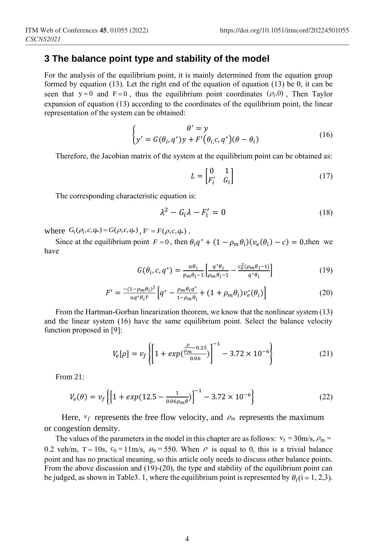#### **3 The balance point type and stability of the model**

For the analysis of the equilibrium point, it is mainly determined from the equation group formed by equation (13). Let the right end of the equation of equation (13) be 0, it can be seen that  $y = 0$  and  $F = 0$ , thus the equilibrium point coordinates  $(\rho_i, 0)$ , Then Taylor expansion of equation (13) according to the coordinates of the equilibrium point, the linear representation of the system can be obtained:

$$
\begin{cases}\n\theta' = y \\
y' = G(\theta_i, q^*)y + F'(\theta_i, c, q^*)(\theta - \theta_i)\n\end{cases}
$$
\n(16)

Therefore, the Jacobian matrix of the system at the equilibrium point can be obtained as:

$$
L = \begin{bmatrix} 0 & 1 \\ F_i' & G_i \end{bmatrix} \tag{17}
$$

The corresponding characteristic equation is:

$$
\lambda^2 - G_i \lambda - F'_i = 0 \tag{18}
$$

where  $G_i(\rho_i, c, q_*) = G(\rho, c, q_*)$ ,  $F = F(\rho, c, q_*)$ .

Since at the equilibrium point  $F = 0$ , then  $\theta_i q^* + (1 - \rho_m \theta_i)(v_e(\theta_i) - c) = 0$ , then we have

$$
G(\theta_i, c, q^*) = \frac{u\theta_i}{p_m\theta_{i-1}} \left[ \frac{q^*\theta_i}{\rho_m\theta_{i-1}} - \frac{c_0^2(\rho_m\theta_{i-1})}{q^*\theta_i} \right] \tag{19}
$$

$$
F' = \frac{-(1 - \rho_m \theta_i)^2}{u q^* \theta_i T} \Big[ q^* - \frac{\rho_m \theta_i q^*}{1 - \rho_m \theta_i} + (1 + \rho_m \theta_i) \nu'_e(\theta_i) \Big] \tag{20}
$$

From the Hartman-Gorban linearization theorem, we know that the nonlinear system (13) and the linear system (16) have the same equilibrium point. Select the balance velocity function proposed in [9]:

$$
V_e[\rho] = v_f \left\{ \left[ 1 + exp(\frac{\rho_m - 0.25}{0.06}) \right]^{-1} - 3.72 \times 10^{-6} \right\} \tag{21}
$$

From 21:

$$
V_e(\theta) = v_f \left\{ \left[ 1 + exp(12.5 - \frac{1}{0.06 \rho_m \theta}) \right]^{-1} - 3.72 \times 10^{-6} \right\}
$$
 (22)

Here,  $v_f$  represents the free flow velocity, and  $\rho_m$  represents the maximum or congestion density.

The values of the parameters in the model in this chapter are as follows:  $v_f = 30 \text{m/s}, \rho_m =$ 0.2 veh/m,  $T = 10s$ ,  $c_0 = 11m/s$ ,  $\mu_0 = 550$ . When  $\rho$  is equal to 0, this is a trivial balance point and has no practical meaning, so this article only needs to discuss other balance points. From the above discussion and (19)-(20), the type and stability of the equilibrium point can be judged, as shown in Table3. 1, where the equilibrium point is represented by  $\theta_i$  (i = 1, 2,3).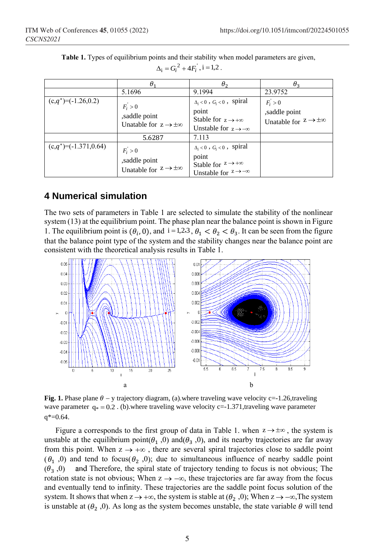|                            | $\theta_1$                                                            | $\theta_2$                                                                                                                 | $\theta_{2}$                                                         |
|----------------------------|-----------------------------------------------------------------------|----------------------------------------------------------------------------------------------------------------------------|----------------------------------------------------------------------|
|                            | 5.1696                                                                | 9.1994                                                                                                                     | 23.9752                                                              |
| $(c,q^*)$ =(-1.26,0.2)     | $F_i > 0$<br>,saddle point<br>Unatable for $z \rightarrow \pm \infty$ | $\Delta_i$ < 0, $G_i$ < 0, spiral<br>point<br>Stable for $z \rightarrow +\infty$<br>Unstable for $z \rightarrow -\infty$   | $F_i > 0$<br>saddle point<br>Unatable for $z \rightarrow \pm \infty$ |
|                            | 5.6287                                                                | 7.113                                                                                                                      |                                                                      |
| $(c,q^*) = (-1.371, 0.64)$ | $F_i > 0$<br>,saddle point<br>Unatable for $z \rightarrow \pm \infty$ | $\Delta_i < 0$ , $G_i < 0$ , spiral<br>point<br>Stable for $z \rightarrow +\infty$<br>Unstable for $z \rightarrow -\infty$ |                                                                      |

**Table 1.** Types of equilibrium points and their stability when model parameters are given,  $\Delta_i = G_i^2 + 4F_i^{\prime}, i = 1,2$ .

# **4 Numerical simulation**

The two sets of parameters in Table 1 are selected to simulate the stability of the nonlinear system (13) at the equilibrium point. The phase plan near the balance point is shown in Figure 1. The equilibrium point is  $(\theta_i, 0)$ , and  $i = 1,2,3$ ,  $\theta_1 < \theta_2 < \theta_3$ . It can be seen from the figure that the balance point type of the system and the stability changes near the balance point are consistent with the theoretical analysis results in Table 1.



**Fig. 1.** Phase plane  $\theta$  – y trajectory diagram, (a), where traveling wave velocity c=-1.26,traveling wave parameter  $q_* = 0.2$ . (b) where traveling wave velocity c=-1.371, traveling wave parameter  $q*=0.64$ .

Figure a corresponds to the first group of data in Table 1. when  $z \rightarrow \pm \infty$ , the system is unstable at the equilibrium point( $\theta_1$ , 0) and( $\theta_3$ , 0), and its nearby trajectories are far away from this point. When  $z \rightarrow +\infty$ , there are several spiral trajectories close to saddle point  $(\theta_1, 0)$  and tend to focus $(\theta_2, 0)$ ; due to simultaneous influence of nearby saddle point  $(\theta_2, 0)$ and Therefore, the spiral state of trajectory tending to focus is not obvious; The rotation state is not obvious; When  $z \rightarrow -\infty$ , these trajectories are far away from the focus and eventually tend to infinity. These trajectories are the saddle point focus solution of the system. It shows that when  $z \to +\infty$ , the system is stable at  $(\theta_2, 0)$ ; When  $z \to -\infty$ , The system is unstable at  $(\theta_2, 0)$ . As long as the system becomes unstable, the state variable  $\theta$  will tend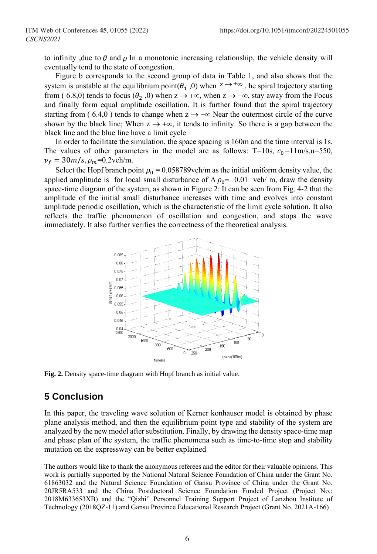to infinity , due to  $\theta$  and  $\rho$  In a monotonic increasing relationship, the vehicle density will eventually tend to the state of congestion.

Figure b corresponds to the second group of data in Table 1, and also shows that the system is unstable at the equilibrium point( $\theta_1$ , 0) when  $z \to \pm \infty$ . he spiral trajectory starting from (6.8,0) tends to focus ( $\theta_2$ ,0) when  $z \to +\infty$ , when  $z \to -\infty$ , stay away from the Focus and finally form equal amplitude oscillation. It is further found that the spiral trajectory starting from (6.4,0) tends to change when  $z \to -\infty$  Near the outermost circle of the curve shown by the black line; When  $z \rightarrow +\infty$ , it tends to infinity. So there is a gap between the black line and the blue line have a limit cycle

In order to facilitate the simulation, the space spacing is 160m and the time interval is 1s. The values of other parameters in the model are as follows: T=10s,  $c_0 =11 \text{ m/s}, u=550$ ,  $v_f = 30m/s, \rho_m = 0.2$ veh/m.

Select the Hopf branch point  $\rho_0 = 0.058789$  veh/m as the initial uniform density value, the applied amplitude is for local small disturbance of  $\Delta \rho_0 = 0.01$  veh/ m, draw the density space-time diagram of the system, as shown in Figure 2: It can be seen from Fig. 4-2 that the amplitude of the initial small disturbance increases with time and evolves into constant amplitude periodic oscillation, which is the characteristic of the limit cycle solution. It also reflects the traffic phenomenon of oscillation and congestion, and stops the wave immediately. It also further verifies the correctness of the theoretical analysis.



**Fig. 2.** Density space-time diagram with Hopf branch as initial value.

## **5 Conclusion**

In this paper, the traveling wave solution of Kerner konhauser model is obtained by phase plane analysis method, and then the equilibrium point type and stability of the system are analyzed by the new model after substitution. Finally, by drawing the density space-time map and phase plan of the system, the traffic phenomena such as time-to-time stop and stability mutation on the expressway can be better explained

The authors would like to thank the anonymous referees and the editor for their valuable opinions. This work is partially supported by the National Natural Science Foundation of China under the Grant No. 61863032 and the Natural Science Foundation of Gansu Province of China under the Grant No. 20JR5RA533 and the China Postdoctoral Science Foundation Funded Project (Project No.: 2018M633653XB) and the "Qizhi" Personnel Training Support Project of Lanzhou Institute of Technology (2018QZ-11) and Gansu Province Educational Research Project (Grant No. 2021A-166)